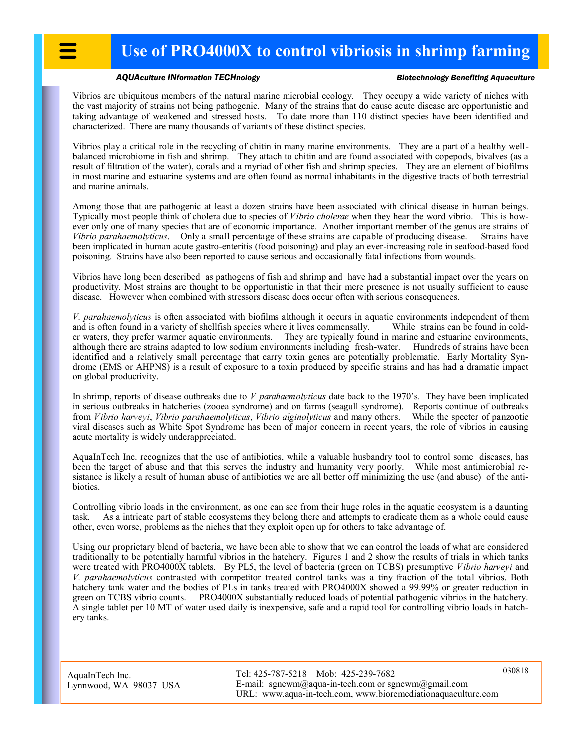## *AQUAculture INformation TECHnology Biotechnology Benefiting Aquaculture*

Vibrios are ubiquitous members of the natural marine microbial ecology. They occupy a wide variety of niches with the vast majority of strains not being pathogenic. Many of the strains that do cause acute disease are opportunistic and taking advantage of weakened and stressed hosts. To date more than 110 distinct species have been identified and characterized. There are many thousands of variants of these distinct species.

Vibrios play a critical role in the recycling of chitin in many marine environments. They are a part of a healthy wellbalanced microbiome in fish and shrimp. They attach to chitin and are found associated with copepods, bivalves (as a result of filtration of the water), corals and a myriad of other fish and shrimp species. They are an element of biofilms in most marine and estuarine systems and are often found as normal inhabitants in the digestive tracts of both terrestrial and marine animals.

Among those that are pathogenic at least a dozen strains have been associated with clinical disease in human beings. Typically most people think of cholera due to species of *Vibrio cholerae* when they hear the word vibrio. This is however only one of many species that are of economic importance. Another important member of the genus are strains of *Vibrio parahaemolyticus*. Only a small percentage of these strains are capable of producing disease. Strains have been implicated in human acute gastro-enteritis (food poisoning) and play an ever-increasing role in seafood-based food poisoning. Strains have also been reported to cause serious and occasionally fatal infections from wounds.

Vibrios have long been described as pathogens of fish and shrimp and have had a substantial impact over the years on productivity. Most strains are thought to be opportunistic in that their mere presence is not usually sufficient to cause disease. However when combined with stressors disease does occur often with serious consequences.

*V. parahaemolyticus* is often associated with biofilms although it occurs in aquatic environments independent of them and is often found in a variety of shellfish species where it lives commensally. While strains can be found in colder waters, they prefer warmer aquatic environments. They are typically found in marine and estuarine environments, although there are strains adapted to low sodium environments including fresh-water. Hundreds of strains have been identified and a relatively small percentage that carry toxin genes are potentially problematic. Early Mortality Syndrome (EMS or AHPNS) is a result of exposure to a toxin produced by specific strains and has had a dramatic impact on global productivity.

In shrimp, reports of disease outbreaks due to *V parahaemolyticus* date back to the 1970's. They have been implicated in serious outbreaks in hatcheries (zooea syndrome) and on farms (seagull syndrome). Reports continue of outbreaks from *Vibrio harveyi*, *Vibrio parahaemolyticus*, *Vibrio alginolyticus* and many others. While the specter of panzootic viral diseases such as White Spot Syndrome has been of major concern in recent years, the role of vibrios in causing acute mortality is widely underappreciated.

AquaInTech Inc. recognizes that the use of antibiotics, while a valuable husbandry tool to control some diseases, has been the target of abuse and that this serves the industry and humanity very poorly. While most antimicrobial resistance is likely a result of human abuse of antibiotics we are all better off minimizing the use (and abuse) of the antibiotics.

Controlling vibrio loads in the environment, as one can see from their huge roles in the aquatic ecosystem is a daunting task. As a intricate part of stable ecosystems they belong there and attempts to eradicate them as a whole could cause other, even worse, problems as the niches that they exploit open up for others to take advantage of.

Using our proprietary blend of bacteria, we have been able to show that we can control the loads of what are considered traditionally to be potentially harmful vibrios in the hatchery. Figures 1 and 2 show the results of trials in which tanks were treated with PRO4000X tablets. By PL5, the level of bacteria (green on TCBS) presumptive *Vibrio harveyi* and *V. parahaemolyticus* contrasted with competitor treated control tanks was a tiny fraction of the total vibrios. Both hatchery tank water and the bodies of PLs in tanks treated with PRO4000X showed a 99.99% or greater reduction in green on TCBS vibrio counts. PRO4000X substantially reduced loads of potential pathogenic vibrios in the hatchery. A single tablet per 10 MT of water used daily is inexpensive, safe and a rapid tool for controlling vibrio loads in hatchery tanks.

AquaInTech Inc. Lynnwood, WA 98037 USA Tel: 425-787-5218 Mob: 425-239-7682 E-mail: sgnewm@aqua-in-tech.com or sgnewm@gmail.com URL: www.aqua-in-tech.com, www.bioremediationaquaculture.com

030818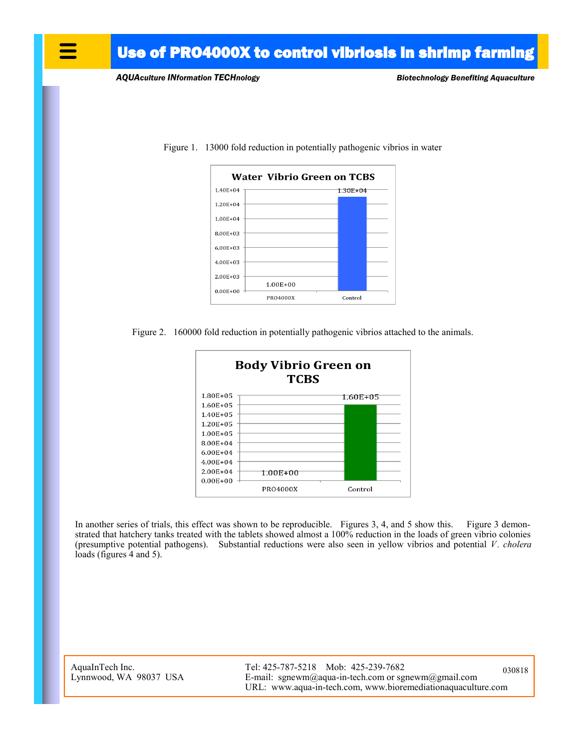## Use of PRO4000X to control vibriosis in shrimp farming

*AQUAculture INformation TECHnology Biotechnology Benefiting Aquaculture*



Figure 1. 13000 fold reduction in potentially pathogenic vibrios in water





In another series of trials, this effect was shown to be reproducible. Figures 3, 4, and 5 show this. Figure 3 demonstrated that hatchery tanks treated with the tablets showed almost a 100% reduction in the loads of green vibrio colonies (presumptive potential pathogens). Substantial reductions were also seen in yellow vibrios and potential *V. cholera* loads (figures 4 and 5).

AquaInTech Inc. Lynnwood, WA 98037 USA Tel: 425-787-5218 Mob: 425-239-7682 E-mail: sgnewm@aqua-in-tech.com or sgnewm@gmail.com URL: www.aqua-in-tech.com, www.bioremediationaquaculture.com 030818